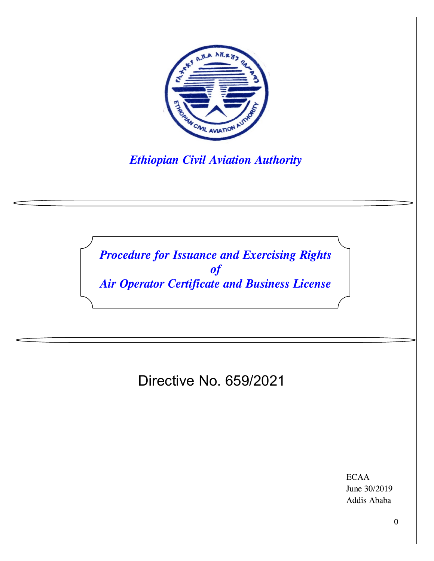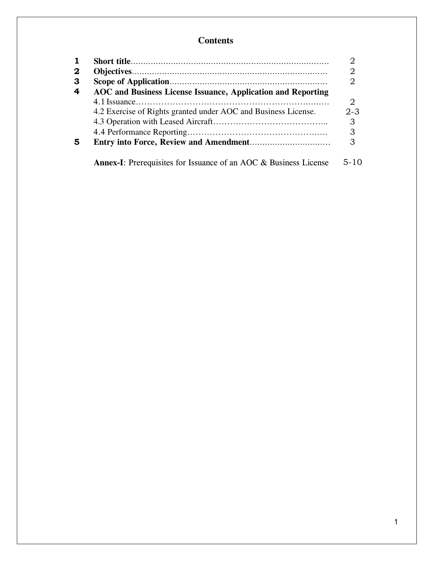# **Contents**

| $\mathbf 2$ |                                                                         |                             |
|-------------|-------------------------------------------------------------------------|-----------------------------|
| 3           |                                                                         |                             |
| 4           | AOC and Business License Issuance, Application and Reporting            |                             |
|             |                                                                         | $\mathcal{D}_{\mathcal{L}}$ |
|             | 4.2 Exercise of Rights granted under AOC and Business License.          | $2 - 3$                     |
|             |                                                                         | 3                           |
|             |                                                                         | 3                           |
| 5           |                                                                         | 3                           |
|             | <b>Annex-I:</b> Prerequisites for Issuance of an AOC & Business License | 5-10                        |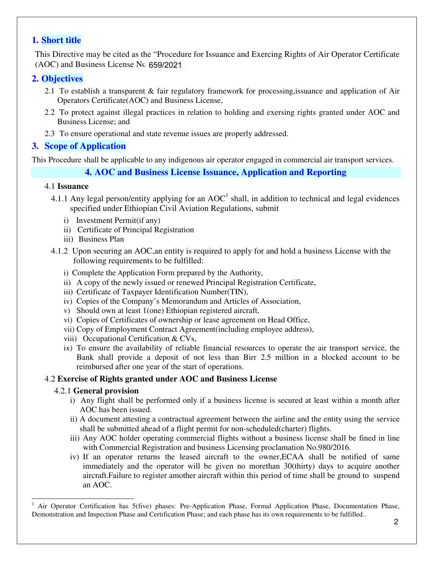# **1. Short title**

This Directive may be cited as the "Procedure for Issuance and Exercing Rights of Air Operator Certificate (AOC) and Business License Nc 659/2021

# **2. Objectives**

- 2.1 To establish a transparent & fair regulatory framework for processing,issuance and application of Air Operators Certificate(AOC) and Business License,
- 2.2 To protect against illegal practices in relation to holding and exersing rights granted under AOC and Business License; and
- 2.3 To ensure operational and state revenue issues are properly addressed.

# **3. Scope of Application**

This Procedure shall be applicable to any indigenous air operator engaged in commercial air transport services.

# **4. AOC and Business License Issuance, Application and Reporting**

### 4.1 **Issuance**

- 4.1.1 Any legal person/entity applying for an  $AOC<sup>1</sup>$  shall, in addition to technical and legal evidences specified under Ethiopian Civil Aviation Regulations, submit
	- i) Investment Permit(if any)
	- ii) Certificate of Principal Registration
	- iii) Business Plan
- 4.1.2 Upon securing an AOC,an entity is required to apply for and hold a business License with the following requirements to be fulfilled:
	- i) Complete the Application Form prepared by the Authority,
	- ii) A copy of the newly issued or renewed Principal Registration Certificate,
	- iii) Certificate of Taxpayer Identification Number(TIN),
	- iv) Copies of the Company's Memorandum and Articles of Association,
	- v) Should own at least 1(one) Ethiopian registered aircraft,
	- vi) Copies of Certificates of ownership or lease agreement on Head Office,
	- vii) Copy of Employment Contract Agreement(including employee address),
	- viii) Occupational Certification & CVs,
	- ix) To ensure the availability of reliable financial resources to operate the air transport service, the Bank shall provide a deposit of not less than Birr 2.5 million in a blocked account to be reimbursed after one year of the start of operations.

### 4.2 **Exercise of Rights granted under AOC and Business License**

### 4.2.1 **General provision**

- i) Any flight shall be performed only if a business license is secured at least within a month after AOC has been issued.
- ii) A document attesting a contractual agreement between the airline and the entity using the service shall be submitted ahead of a flight permit for non-scheduled(charter) flights.
- iii) Any AOC holder operating commercial flights without a business license shall be fined in line with Commercial Registration and business Licensing proclamation No.980/2016.
- iv) If an operator returns the leased aircraft to the owner,ECAA shall be notified of same immediately and the operator will be given no morethan 30(thirty) days to acquire another aircraft.Failure to register amother aircraft within this period of time shall be ground to suspend an AOC.

<sup>-</sup>1 Air Operator Certification has 5(five) phases: Pre-Application Phase, Formal Application Phase, Documentation Phase, Demonstration and Inspection Phase and Certification Phase; and each phase has its own requirements to be fulfilled..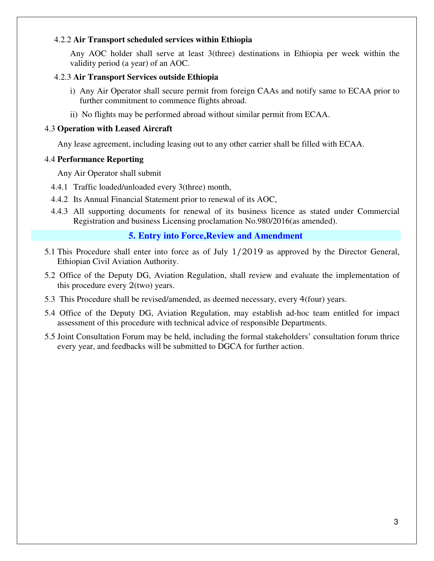### 4.2.2 **Air Transport scheduled services within Ethiopia**

Any AOC holder shall serve at least 3(three) destinations in Ethiopia per week within the validity period (a year) of an AOC.

### 4.2.3 **Air Transport Services outside Ethiopia**

- i) Any Air Operator shall secure permit from foreign CAAs and notify same to ECAA prior to further commitment to commence flights abroad.
- ii) No flights may be performed abroad without similar permit from ECAA.

### 4.3 **Operation with Leased Aircraft**

Any lease agreement, including leasing out to any other carrier shall be filled with ECAA.

### 4.4 **Performance Reporting**

Any Air Operator shall submit

- 4.4.1 Traffic loaded/unloaded every 3(three) month,
- 4.4.2 Its Annual Financial Statement prior to renewal of its AOC,
- 4.4.3 All supporting documents for renewal of its business licence as stated under Commercial Registration and business Licensing proclamation No.980/2016(as amended).

### **5. Entry into Force,Review and Amendment**

- 5.1 This Procedure shall enter into force as of July 1/2019 as approved by the Director General, Ethiopian Civil Aviation Authority.
- 5.2 Office of the Deputy DG, Aviation Regulation, shall review and evaluate the implementation of this procedure every 2(two) years.
- 5.3 This Procedure shall be revised/amended, as deemed necessary, every 4(four) years.
- 5.4 Office of the Deputy DG, Aviation Regulation, may establish ad-hoc team entitled for impact assessment of this procedure with technical advice of responsible Departments.
- 5.5 Joint Consultation Forum may be held, including the formal stakeholders' consultation forum thrice every year, and feedbacks will be submitted to DGCA for further action.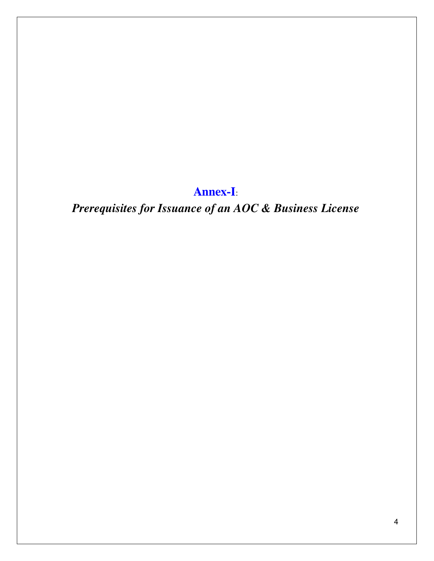**Annex-I**:

*Prerequisites for Issuance of an AOC & Business License*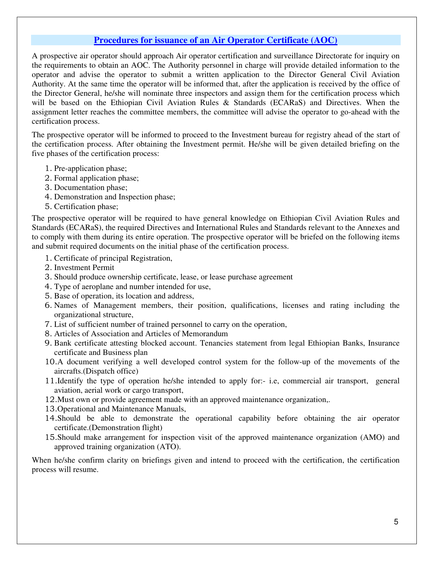# **Procedures for issuance of an Air Operator Certificate (AOC)**

A prospective air operator should approach Air operator certification and surveillance Directorate for inquiry on the requirements to obtain an AOC. The Authority personnel in charge will provide detailed information to the operator and advise the operator to submit a written application to the Director General Civil Aviation Authority. At the same time the operator will be informed that, after the application is received by the office of the Director General, he/she will nominate three inspectors and assign them for the certification process which will be based on the Ethiopian Civil Aviation Rules & Standards (ECARaS) and Directives. When the assignment letter reaches the committee members, the committee will advise the operator to go-ahead with the certification process.

The prospective operator will be informed to proceed to the Investment bureau for registry ahead of the start of the certification process. After obtaining the Investment permit. He/she will be given detailed briefing on the five phases of the certification process:

- 1. Pre-application phase;
- 2. Formal application phase;
- 3. Documentation phase;
- 4. Demonstration and Inspection phase;
- 5. Certification phase;

The prospective operator will be required to have general knowledge on Ethiopian Civil Aviation Rules and Standards (ECARaS), the required Directives and International Rules and Standards relevant to the Annexes and to comply with them during its entire operation. The prospective operator will be briefed on the following items and submit required documents on the initial phase of the certification process.

- 1. Certificate of principal Registration,
- 2. Investment Permit
- 3. Should produce ownership certificate, lease, or lease purchase agreement
- 4. Type of aeroplane and number intended for use,
- 5. Base of operation, its location and address,
- 6. Names of Management members, their position, qualifications, licenses and rating including the organizational structure,
- 7. List of sufficient number of trained personnel to carry on the operation,
- 8. Articles of Association and Articles of Memorandum
- 9. Bank certificate attesting blocked account. Tenancies statement from legal Ethiopian Banks, Insurance certificate and Business plan
- 10.A document verifying a well developed control system for the follow-up of the movements of the aircrafts.(Dispatch office)
- 11.Identify the type of operation he/she intended to apply for:- i.e, commercial air transport, general aviation, aerial work or cargo transport,
- 12.Must own or provide agreement made with an approved maintenance organization,.
- 13.Operational and Maintenance Manuals,
- 14.Should be able to demonstrate the operational capability before obtaining the air operator certificate.(Demonstration flight)
- 15.Should make arrangement for inspection visit of the approved maintenance organization (AMO) and approved training organization (ATO).

When he/she confirm clarity on briefings given and intend to proceed with the certification, the certification process will resume.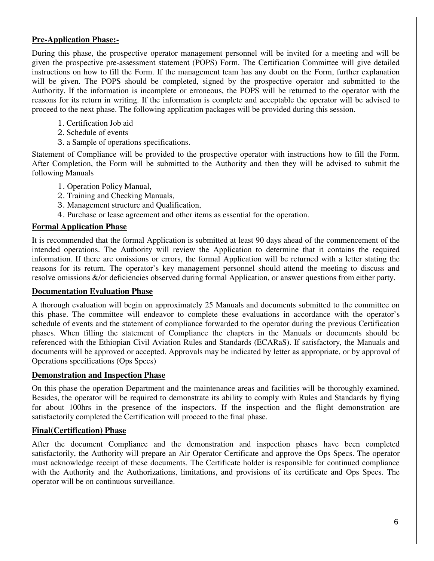# **Pre-Application Phase:-**

During this phase, the prospective operator management personnel will be invited for a meeting and will be given the prospective pre-assessment statement (POPS) Form. The Certification Committee will give detailed instructions on how to fill the Form. If the management team has any doubt on the Form, further explanation will be given. The POPS should be completed, signed by the prospective operator and submitted to the Authority. If the information is incomplete or erroneous, the POPS will be returned to the operator with the reasons for its return in writing. If the information is complete and acceptable the operator will be advised to proceed to the next phase. The following application packages will be provided during this session.

- 1. Certification Job aid
- 2. Schedule of events
- 3. a Sample of operations specifications.

Statement of Compliance will be provided to the prospective operator with instructions how to fill the Form. After Completion, the Form will be submitted to the Authority and then they will be advised to submit the following Manuals

- 1. Operation Policy Manual,
- 2. Training and Checking Manuals,
- 3. Management structure and Qualification,
- 4. Purchase or lease agreement and other items as essential for the operation.

### **Formal Application Phase**

It is recommended that the formal Application is submitted at least 90 days ahead of the commencement of the intended operations. The Authority will review the Application to determine that it contains the required information. If there are omissions or errors, the formal Application will be returned with a letter stating the reasons for its return. The operator's key management personnel should attend the meeting to discuss and resolve omissions &/or deficiencies observed during formal Application, or answer questions from either party.

### **Documentation Evaluation Phase**

A thorough evaluation will begin on approximately 25 Manuals and documents submitted to the committee on this phase. The committee will endeavor to complete these evaluations in accordance with the operator's schedule of events and the statement of compliance forwarded to the operator during the previous Certification phases. When filling the statement of Compliance the chapters in the Manuals or documents should be referenced with the Ethiopian Civil Aviation Rules and Standards (ECARaS). If satisfactory, the Manuals and documents will be approved or accepted. Approvals may be indicated by letter as appropriate, or by approval of Operations specifications (Ops Specs)

#### **Demonstration and Inspection Phase**

On this phase the operation Department and the maintenance areas and facilities will be thoroughly examined. Besides, the operator will be required to demonstrate its ability to comply with Rules and Standards by flying for about 100hrs in the presence of the inspectors. If the inspection and the flight demonstration are satisfactorily completed the Certification will proceed to the final phase.

### **Final(Certification) Phase**

After the document Compliance and the demonstration and inspection phases have been completed satisfactorily, the Authority will prepare an Air Operator Certificate and approve the Ops Specs. The operator must acknowledge receipt of these documents. The Certificate holder is responsible for continued compliance with the Authority and the Authorizations, limitations, and provisions of its certificate and Ops Specs. The operator will be on continuous surveillance.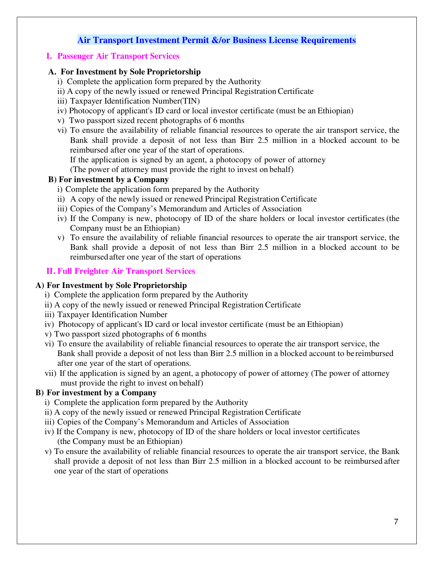# **Air Transport Investment Permit &/or Business License Requirements**

### **I. Passenger Air Transport Services**

### **A. For Investment by Sole Proprietorship**

- i) Complete the application form prepared by the Authority
- ii) A copy of the newly issued or renewed Principal Registration Certificate
- iii) Taxpayer Identification Number(TIN)
- iv) Photocopy of applicant's ID card or local investor certificate (must be an Ethiopian)
- v) Two passport sized recent photographs of 6 months
- vi) To ensure the availability of reliable financial resources to operate the air transport service, the Bank shall provide a deposit of not less than Birr 2.5 million in a blocked account to be reimbursed after one year of the start of operations.

If the application is signed by an agent, a photocopy of power of attorney

(The power of attorney must provide the right to invest on behalf)

### **B) For investment by a Company**

- i) Complete the application form prepared by the Authority
- ii) A copy of the newly issued or renewed Principal Registration Certificate
- iii) Copies of the Company's Memorandum and Articles of Association
- iv) If the Company is new, photocopy of ID of the share holders or local investor certificates (the Company must be an Ethiopian)
- v) To ensure the availability of reliable financial resources to operate the air transport service, the Bank shall provide a deposit of not less than Birr 2.5 million in a blocked account to be reimbursed after one year of the start of operations

### **II. Full Freighter Air Transport Services**

### **A) For Investment by Sole Proprietorship**

- i) Complete the application form prepared by the Authority
- ii) A copy of the newly issued or renewed Principal Registration Certificate
- iii) Taxpayer Identification Number
- iv) Photocopy of applicant's ID card or local investor certificate (must be an Ethiopian)
- v) Two passport sized photographs of 6 months
- vi) To ensure the availability of reliable financial resources to operate the air transport service, the Bank shall provide a deposit of not less than Birr 2.5 million in a blocked account to be reimbursed after one year of the start of operations.
- vii) If the application is signed by an agent, a photocopy of power of attorney (The power of attorney must provide the right to invest on behalf)

### **B) For investment by a Company**

- i) Complete the application form prepared by the Authority
- ii) A copy of the newly issued or renewed Principal Registration Certificate
- iii) Copies of the Company's Memorandum and Articles of Association
- iv) If the Company is new, photocopy of ID of the share holders or local investor certificates (the Company must be an Ethiopian)
- v) To ensure the availability of reliable financial resources to operate the air transport service, the Bank shall provide a deposit of not less than Birr 2.5 million in a blocked account to be reimbursed after one year of the start of operations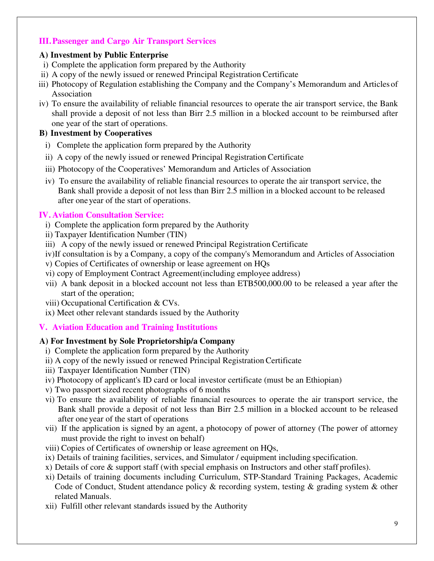### **III.Passenger and Cargo Air Transport Services**

### **A) Investment by Public Enterprise**

- i) Complete the application form prepared by the Authority
- ii) A copy of the newly issued or renewed Principal Registration Certificate
- iii) Photocopy of Regulation establishing the Company and the Company's Memorandum and Articles of Association
- iv) To ensure the availability of reliable financial resources to operate the air transport service, the Bank shall provide a deposit of not less than Birr 2.5 million in a blocked account to be reimbursed after one year of the start of operations.

### **B) Investment by Cooperatives**

- i) Complete the application form prepared by the Authority
- ii) A copy of the newly issued or renewed Principal Registration Certificate
- iii) Photocopy of the Cooperatives' Memorandum and Articles of Association
- iv) To ensure the availability of reliable financial resources to operate the air transport service, the Bank shall provide a deposit of not less than Birr 2.5 million in a blocked account to be released after one year of the start of operations.

### **IV.Aviation Consultation Service:**

- i) Complete the application form prepared by the Authority
- ii) Taxpayer Identification Number (TIN)
- iii) A copy of the newly issued or renewed Principal Registration Certificate
- iv)If consultation is by a Company, a copy of the company's Memorandum and Articles of Association
- v) Copies of Certificates of ownership or lease agreement on HQs
- vi) copy of Employment Contract Agreement(including employee address)
- vii) A bank deposit in a blocked account not less than ETB500,000.00 to be released a year after the start of the operation;
- viii) Occupational Certification & CVs.
- ix) Meet other relevant standards issued by the Authority

### **V. Aviation Education and Training Institutions**

### **A) For Investment by Sole Proprietorship/a Company**

- i) Complete the application form prepared by the Authority
- ii) A copy of the newly issued or renewed Principal Registration Certificate
- iii) Taxpayer Identification Number (TIN)
- iv) Photocopy of applicant's ID card or local investor certificate (must be an Ethiopian)
- v) Two passport sized recent photographs of 6 months
- vi) To ensure the availability of reliable financial resources to operate the air transport service, the Bank shall provide a deposit of not less than Birr 2.5 million in a blocked account to be released after one year of the start of operations
- vii) If the application is signed by an agent, a photocopy of power of attorney (The power of attorney must provide the right to invest on behalf)
- viii) Copies of Certificates of ownership or lease agreement on HQs,
- ix) Details of training facilities, services, and Simulator / equipment including specification.
- x) Details of core & support staff (with special emphasis on Instructors and other staff profiles).
- xi) Details of training documents including Curriculum, STP-Standard Training Packages, Academic Code of Conduct, Student attendance policy & recording system, testing & grading system & other related Manuals.
- xii) Fulfill other relevant standards issued by the Authority